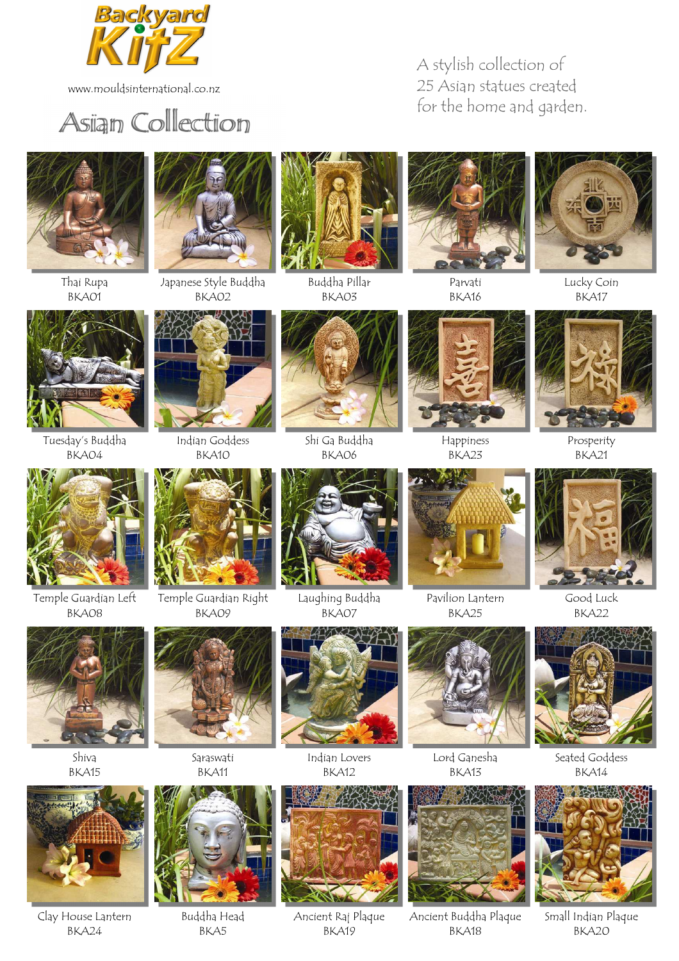

www.mouldsinternational.co.nz



## A stylish collection of 25 Asian statues created



Thai Rupa BKA01



Japanese Style Buddha BKA02



Buddha Pillar BKA03



Parvati BKA16



Lucky Coin BKA17



Tuesday's Buddha BKA04



Indian Goddess BKA10



Shi Ga Buddha BKA06



Happiness BKA23



Prosperity BKA21



Temple Guardian Left BKA08



Temple Guardian Right BKA09



Laughing Buddha BKA07



Pavilion Lantern BKA25



Good Luck BKA22



Shiva BKA15

Clay House Lantern BKA24



Saraswati BKA11



Buddha Head BKA5





BKA12

Ancient Raj Plaque BKA19



Lord Ganesha BKA13

Ancient Buddha Plaque BKA18



BKA14



Small Indian Plaque BKA20